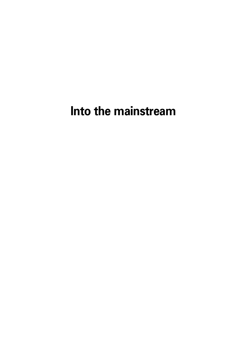**Into the mainstream**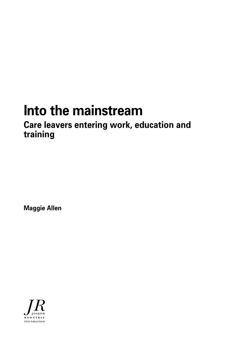# **Into the mainstream**

# **Care leavers entering work, education and training**

**Maggie Allen**

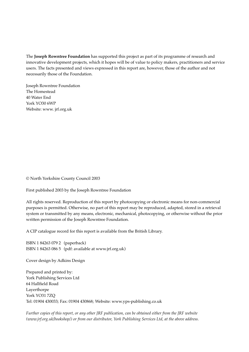The **Joseph Rowntree Foundation** has supported this project as part of its programme of research and innovative development projects, which it hopes will be of value to policy makers, practitioners and service users. The facts presented and views expressed in this report are, however, those of the author and not necessarily those of the Foundation.

Joseph Rowntree Foundation The Homestead 40 Water End York YO30 6WP Website: www. jrf.org.uk

© North Yorkshire County Council 2003

First published 2003 by the Joseph Rowntree Foundation

All rights reserved. Reproduction of this report by photocopying or electronic means for non-commercial purposes is permitted. Otherwise, no part of this report may be reproduced, adapted, stored in a retrieval system or transmitted by any means, electronic, mechanical, photocopying, or otherwise without the prior written permission of the Joseph Rowntree Foundation.

A CIP catalogue record for this report is available from the British Library.

ISBN 1 84263 079 2 (paperback) ISBN 1 84263 086 5 (pdf: available at www.jrf.org.uk)

Cover design by Adkins Design

Prepared and printed by: York Publishing Services Ltd 64 Hallfield Road Layerthorpe York YO31 7ZQ Tel: 01904 430033; Fax: 01904 430868; Website: www.yps-publishing.co.uk

*Further copies of this report, or any other JRF publication, can be obtained either from the JRF website (www.jrf.org.uk/bookshop/) or from our distributor, York Publishing Services Ltd, at the above address.*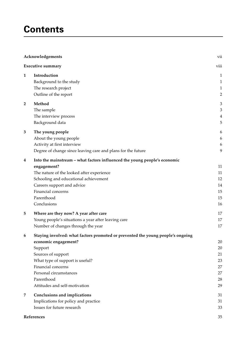# **Contents**

|                | Acknowledgements                                                                | vii                         |
|----------------|---------------------------------------------------------------------------------|-----------------------------|
|                | <b>Executive summary</b>                                                        | viii                        |
| 1              | Introduction                                                                    | $\mathbf{1}$                |
|                | Background to the study                                                         | $\mathbf{1}$                |
|                | The research project                                                            | $\mathbf{1}$                |
|                | Outline of the report                                                           | $\sqrt{2}$                  |
| $\overline{2}$ | Method                                                                          | $\ensuremath{\mathfrak{Z}}$ |
|                | The sample                                                                      | $\ensuremath{\mathfrak{Z}}$ |
|                | The interview process                                                           | $\overline{4}$              |
|                | Background data                                                                 | 5                           |
| 3              | The young people                                                                | 6                           |
|                | About the young people                                                          | 6                           |
|                | Activity at first interview                                                     | 6                           |
|                | Degree of change since leaving care and plans for the future                    | 9                           |
| 4              | Into the mainstream - what factors influenced the young people's economic       |                             |
|                | engagement?                                                                     | 11                          |
|                | The nature of the looked after experience                                       | 11                          |
|                | Schooling and educational achievement                                           | 12                          |
|                | Careers support and advice                                                      | 14                          |
|                | Financial concerns                                                              | 15                          |
|                | Parenthood                                                                      | 15                          |
|                | Conclusions                                                                     | 16                          |
| 5              | Where are they now? A year after care                                           | 17                          |
|                | Young people's situations a year after leaving care                             | 17                          |
|                | Number of changes through the year                                              | 17                          |
| 6              | Staying involved: what factors promoted or prevented the young people's ongoing |                             |
|                | economic engagement?                                                            | $20\,$                      |
|                | Support                                                                         | 20                          |
|                | Sources of support                                                              | 21                          |
|                | What type of support is useful?                                                 | 23                          |
|                | Financial concerns                                                              | 27                          |
|                | Personal circumstances                                                          | 27                          |
|                | Parenthood                                                                      | 28                          |
|                | Attitudes and self-motivation                                                   | 29                          |
| 7              | Conclusions and implications                                                    | 31                          |
|                | Implications for policy and practice                                            | 31                          |
|                | Issues for future research                                                      | 33                          |
|                | References                                                                      | 35                          |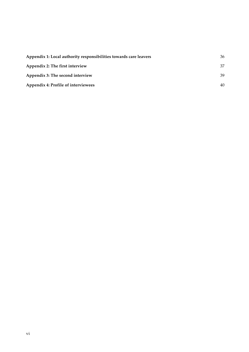| Appendix 1: Local authority responsibilities towards care leavers | 36 |
|-------------------------------------------------------------------|----|
| Appendix 2: The first interview                                   | 37 |
| Appendix 3: The second interview                                  | 39 |
| Appendix 4: Profile of interviewees                               | 40 |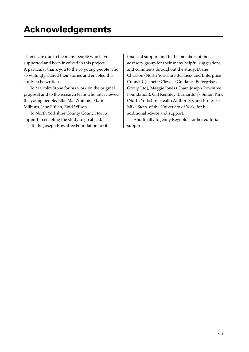Thanks are due to the many people who have supported and been involved in this project. A particular thank you to the 36 young people who so willingly shared their stories and enabled this study to be written.

To Malcolm Stone for his work on the original proposal and to the research team who interviewed the young people: Ellie MacWhinnie, Marie Milburn, Jane Pullan, Enid Wilson.

To North Yorkshire County Council for its support in enabling the study to go ahead.

To the Joseph Rowntree Foundation for its

financial support and to the members of the advisory group for their many helpful suggestions and comments throughout the study: Diane Christon (North Yorkshire Business and Enterprise Council), Jeanette Clewes (Guidance Enterprises Group Ltd), Maggie Jones (Chair, Joseph Rowntree Foundation), Gill Keithley (Barnardo's), Simon Kirk (North Yorkshire Health Authority), and Professor Mike Stein, of the University of York, for his additional advice and support.

And finally to Jenny Reynolds for her editorial support.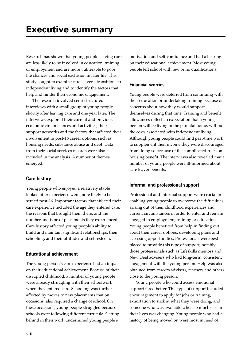Research has shown that young people leaving care are less likely to be involved in education, training or employment and are more vulnerable to poor life chances and social exclusion in later life. This study sought to examine care leavers' transitions to independent living and to identify the factors that help and hinder their economic engagement.

The research involved semi-structured interviews with a small group of young people shortly after leaving care and one year later. The interviews explored their current and previous economic circumstances and activities, their support networks and the factors that affected their involvement in post-16 career options, such as housing needs, substance abuse and debt. Data from their social services records were also included in the analysis. A number of themes emerged.

# **Care history**

Young people who enjoyed a relatively stable looked after experience were more likely to be settled post-16. Important factors that affected their care experience included the age they entered care, the reasons that brought them there, and the number and type of placements they experienced. Care history affected young people's ability to build and maintain significant relationships, their schooling, and their attitudes and self-esteem.

# **Educational achievement**

The young person's care experience had an impact on their educational achievement. Because of their disrupted childhood, a number of young people were already struggling with their schoolwork when they entered care. Schooling was further affected by moves to new placements that on occasions, also required a change of school. On these occasions, young people struggled because schools were following different curricula. Getting behind in their work undermined young people's

motivation and self-confidence and had a bearing on their educational achievement. Most young people left school with few or no qualifications.

# **Financial worries**

Young people were deterred from continuing with their education or undertaking training because of concerns about how they would support themselves during that time. Training and benefit allowances reflect an expectation that a young person will be living in the parental home, without the costs associated with independent living. Although young people could find part-time work to supplement their income they were discouraged from doing so because of the complicated rules on housing benefit. The interviews also revealed that a number of young people were ill-informed about care leaver benefits.

# **Informal and professional support**

Professional and informal support were crucial in enabling young people to overcome the difficulties arising out of their childhood experiences and current circumstances in order to enter and remain engaged in employment, training or education. Young people benefited from help in finding out about their career options, developing plans and accessing opportunities. Professionals were best placed to provide this type of support, notably those professionals such as Lifeskills mentors and New Deal advisers who had long-term, consistent engagement with the young person. Help was also obtained from careers advisers, teachers and others close to the young person.

Young people who could access emotional support fared better. This type of support included encouragement to apply for jobs or training, exhortation to stick at what they were doing, and someone who was available when so much else in their lives was changing. Young people who had a history of being moved on were most in need of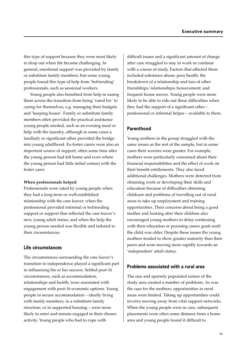this type of support because they were most likely to drop out when life became challenging. In general, emotional support was provided by family or substitute family members, but some young people found this type of help from 'befriending' professionals, such as sessional workers.

Young people also benefited from help in easing them across the transition from being 'cared for' to caring for themselves, e.g. managing their budgets and 'keeping house'. Family or substitute family members often provided the practical assistance young people needed, such as an evening meal or help with the laundry, although in some cases a landlady or significant other provided the bridge into young adulthood. Ex-foster carers were also an important source of support, often some time after the young person had left home and even where the young person had little initial contact with the foster carer.

### **When professionals helped**

Professionals were rated by young people when they had a long-term or well-established relationship with the care leaver; when the professional provided informal or befriending support or support that reflected the care leaver's new, young adult status; and when the help the young person needed was flexible and tailored to their circumstances.

# **Life circumstances**

The circumstances surrounding the care leaver's transition to independence played a significant part in influencing his or her success. Settled post-16 circumstances, such as accommodation, relationships and health, were associated with engagement with post-16 economic options. Young people in secure accommodation – ideally living with family members, in a substitute family structure, or in supported housing – were more likely to enter and remain engaged in their chosen activity. Young people who had to cope with

difficult issues and a significant amount of change after care struggled to stay in work or continue with a course of study. Factors that affected them included substance abuse; poor health; the breakdown of a relationship and loss of other friendships/relationships; bereavement; and frequent house moves. Young people were more likely to be able to ride out these difficulties when they had the support of a significant other – professional or informal helper – available to them.

# **Parenthood**

Young mothers in the group struggled with the same issues as the rest of the sample, but in some cases their worries were greater. For example, mothers were particularly concerned about their financial responsibilities and the effect of work on their benefit entitlements. They also faced additional challenges. Mothers were deterred from obtaining work or developing their skills and education because of difficulties obtaining childcare and problems of travelling out of rural areas to take up employment and training opportunities. Their concerns about being a good mother and looking after their children also encouraged young mothers to delay continuing with their education or pursuing career goals until the child was older. Despite these issues the young mothers tended to show greater maturity than their peers and were moving more rapidly towards an 'independent' adult status.

### **Problems associated with a rural area**

The size and sparsely populated nature of the study area created a number of problems. As was the case for the mothers, opportunities in rural areas were limited. Taking up opportunities could involve moving away from vital support networks. When the young people were in care, subsequent placements were often some distance from a home area and young people found it difficult to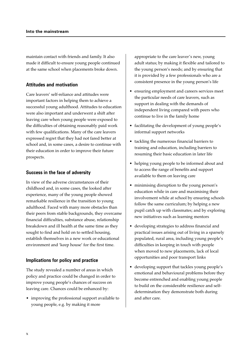maintain contact with friends and family. It also made it difficult to ensure young people continued at the same school when placements broke down.

### **Attitudes and motivation**

Care leavers' self-reliance and attitudes were important factors in helping them to achieve a successful young adulthood. Attitudes to education were also important and underwent a shift after leaving care when young people were exposed to the difficulties of obtaining reasonably paid work with few qualifications. Many of the care leavers expressed regret that they had not fared better at school and, in some cases, a desire to continue with their education in order to improve their future prospects.

### **Success in the face of adversity**

In view of the adverse circumstances of their childhood and, in some cases, the looked after experience, many of the young people showed remarkable resilience in the transition to young adulthood. Faced with many more obstacles than their peers from stable backgrounds, they overcame financial difficulties, substance abuse, relationship breakdown and ill health at the same time as they sought to find and hold on to settled housing, establish themselves in a new work or educational environment and 'keep house' for the first time.

# **Implications for policy and practice**

The study revealed a number of areas in which policy and practice could be changed in order to improve young people's chances of success on leaving care. Chances could be enhanced by:

• improving the professional support available to young people, e.g. by making it more

appropriate to the care leaver's new, young adult status; by making it flexible and tailored to the young person's needs; and by ensuring that it is provided by a few professionals who are a consistent presence in the young person's life

- ensuring employment and careers services meet the particular needs of care leavers, such as support in dealing with the demands of independent living compared with peers who continue to live in the family home
- facilitating the development of young people's informal support networks
- tackling the numerous financial barriers to training and education, including barriers to resuming their basic education in later life
- helping young people to be informed about and to access the range of benefits and support available to them on leaving care
- minimising disruption to the young person's education while in care and maximising their involvement while at school by ensuring schools follow the same curriculum; by helping a new pupil catch up with classmates; and by exploring new initiatives such as learning mentors
- developing strategies to address financial and practical issues arising out of living in a sparsely populated, rural area, including young people's difficulties in keeping in touch with people when moved to new placements, lack of local opportunities and poor transport links
- developing support that tackles young people's emotional and behavioural problems before they become entrenched and enabling young people to build on the considerable resilience and selfdetermination they demonstrate both during and after care.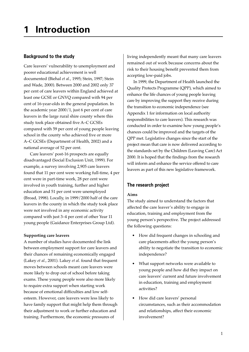# **Background to the study**

Care leavers' vulnerability to unemployment and poorer educational achievement is well documented (Biehal *et al.*, 1995; Stein, 1997; Stein and Wade, 2000). Between 2000 and 2002 only 37 per cent of care leavers within England achieved at least one GCSE or GNVQ compared with 94 per cent of 16-year-olds in the general population. In the academic year 2000/1, just 6 per cent of care leavers in the large rural shire county where this study took place obtained five A–C GCSEs compared with 59 per cent of young people leaving school in the county who achieved five or more A–C GCSEs (Department of Health, 2002) and a national average of 52 per cent.

Care leavers' post-16 prospects are equally disadvantaged (Social Exclusion Unit, 1999). For example, a survey involving 2,905 care leavers found that 11 per cent were working full-time, 4 per cent were in part-time work, 28 per cent were involved in youth training, further and higher education and 51 per cent were unemployed (Broad, 1998). Locally, in 1999/2000 half of the care leavers in the county in which the study took place were not involved in any economic activity compared with just 3–4 per cent of other Year 11 young people (Guidance Enterprises Group Ltd).

# **Supporting care leavers**

A number of studies have documented the link between employment support for care leavers and their chances of remaining economically engaged (Lakey *et al.*, 2001). Lakey *et al.* found that frequent moves between schools meant care leavers were more likely to drop out of school before taking exams. These young people were also more likely to require extra support when starting work because of emotional difficulties and low selfesteem. However, care leavers were less likely to have family support that might help them through their adjustment to work or further education and training. Furthermore, the economic pressures of

living independently meant that many care leavers remained out of work because concerns about the risk to their housing benefit prevented them from accepting low-paid jobs.

In 1999, the Department of Health launched the Quality Protects Programme (QPP), which aimed to enhance the life chances of young people leaving care by improving the support they receive during the transition to economic independence (see Appendix 1 for information on local authority responsibilities to care leavers). This research was conducted in order to examine how young people's chances could be improved and the targets of the QPP met. Legislative changes since the start of the project mean that care is now delivered according to the standards set by the Children (Leaving Care) Act 2000. It is hoped that the findings from the research will inform and enhance the service offered to care leavers as part of this new legislative framework.

# **The research project**

# **Aims**

The study aimed to understand the factors that affected the care leaver's ability to engage in education, training and employment from the young person's perspective. The project addressed the following questions:

- How did frequent changes in schooling and care placements affect the young person's ability to negotiate the transition to economic independence?
- What support networks were available to young people and how did they impact on care leavers' current and future involvement in education, training and employment activities?
- How did care leavers' personal circumstances, such as their accommodation and relationships, affect their economic involvement?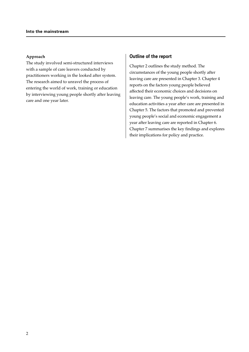### **Approach**

The study involved semi-structured interviews with a sample of care leavers conducted by practitioners working in the looked after system. The research aimed to unravel the process of entering the world of work, training or education by interviewing young people shortly after leaving care and one year later.

### **Outline of the report**

Chapter 2 outlines the study method. The circumstances of the young people shortly after leaving care are presented in Chapter 3. Chapter 4 reports on the factors young people believed affected their economic choices and decisions on leaving care. The young people's work, training and education activities a year after care are presented in Chapter 5. The factors that promoted and prevented young people's social and economic engagement a year after leaving care are reported in Chapter 6. Chapter 7 summarises the key findings and explores their implications for policy and practice.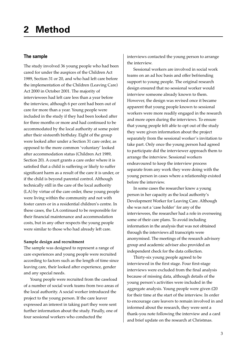# **The sample**

The study involved 36 young people who had been cared for under the auspices of the Children Act 1989, Section 31 or 20, and who had left care before the implementation of the Children (Leaving Care) Act 2000 in October 2001. The majority of interviewees had left care less than a year before the interview, although 6 per cent had been out of care for more than a year. Young people were included in the study if they had been looked after for three months or more and had continued to be accommodated by the local authority at some point after their sixteenth birthday. Eight of the group were looked after under a Section 31 care order, as opposed to the more common 'voluntary' looked after accommodation status (Children Act 1989, Section 20). A court grants a care order where it is satisfied that a child is suffering or likely to suffer significant harm as a result of the care it is under, or if the child is beyond parental control. Although technically still in the care of the local authority (LA) by virtue of the care order, these young people were living within the community and not with foster carers or in a residential children's centre. In these cases, the LA continued to be responsible for their financial maintenance and accommodation costs, but in any other respects the young people were similar to those who had already left care.

# **Sample design and recruitment**

The sample was designed to represent a range of care experiences and young people were recruited according to factors such as the length of time since leaving care, their looked after experience, gender and any special needs.

Young people were recruited from the caseload of a number of social work teams from two areas of the local authority. A social worker introduced the project to the young person. If the care leaver expressed an interest in taking part they were sent further information about the study. Finally, one of four sessional workers who conducted the

interviews contacted the young person to arrange the interview.

Sessional workers are involved in social work teams on an ad hoc basis and offer befriending support to young people. The original research design ensured that no sessional worker would interview someone already known to them. However, the design was revised once it became apparent that young people known to sessional workers were more readily engaged in the research and more open during the interviews. To ensure that young people felt able to opt out of the study they were given information about the project separately from the sessional worker's invitation to take part. Only once the young person had agreed to participate did the interviewer approach them to arrange the interview. Sessional workers endeavoured to keep the interview process separate from any work they were doing with the young person in cases where a relationship existed before the interview.

In some cases the researcher knew a young person in her capacity as the local authority's Development Worker for Leaving Care. Although she was not a 'case holder' for any of the interviewees, the researcher had a role in overseeing some of their care plans. To avoid including information in the analysis that was not obtained through the interviews all transcripts were anonymised. The meetings of the research advisory group and academic adviser also provided an independent check for the data collection.

Thirty-six young people agreed to be interviewed in the first stage. Four first-stage interviews were excluded from the final analysis because of missing data, although details of the young person's activities were included in the aggregate analysis. Young people were given £20 for their time at the start of the interview. In order to encourage care leavers to remain involved in and informed about the research, they were sent a thank-you note following the interview and a card and brief update on the research at Christmas.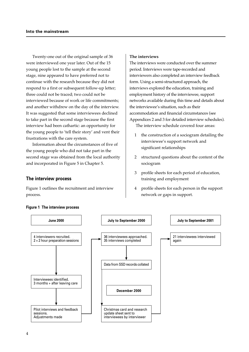Twenty-one out of the original sample of 36 were interviewed one year later. Out of the 15 young people lost to the sample at the second stage, nine appeared to have preferred not to continue with the research because they did not respond to a first or subsequent follow-up letter; three could not be traced; two could not be interviewed because of work or life commitments; and another withdrew on the day of the interview. It was suggested that some interviewees declined to take part in the second stage because the first interview had been cathartic: an opportunity for the young people to 'tell their story' and vent their frustrations with the care system.

Information about the circumstances of five of the young people who did not take part in the second stage was obtained from the local authority and incorporated in Figure 5 in Chapter 5.

### **The interview process**

Figure 1 outlines the recruitment and interview process.

#### **The interviews**

The interviews were conducted over the summer period. Interviews were tape-recorded and interviewers also completed an interview feedback form. Using a semi-structured approach, the interviews explored the education, training and employment history of the interviewee, support networks available during this time and details about the interviewee's situation, such as their accommodation and financial circumstances (see Appendices 2 and 3 for detailed interview schedules).

The interview schedule covered four areas:

- 1 the construction of a sociogram detailing the interviewee's support network and significant relationships
- 2 structured questions about the content of the sociogram
- 3 profile sheets for each period of education, training and employment
- 4 profile sheets for each person in the support network or gaps in support.



#### **Figure 1 The interview process**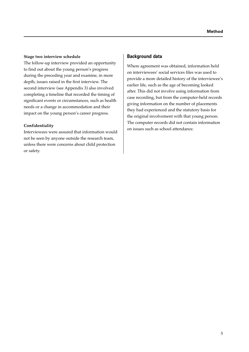### **Stage two interview schedule**

The follow-up interview provided an opportunity to find out about the young person's progress during the preceding year and examine, in more depth, issues raised in the first interview. The second interview (see Appendix 3) also involved completing a timeline that recorded the timing of significant events or circumstances, such as health needs or a change in accommodation and their impact on the young person's career progress.

### **Confidentiality**

Interviewees were assured that information would not be seen by anyone outside the research team, unless there were concerns about child protection or safety.

### **Background data**

Where agreement was obtained, information held on interviewees' social services files was used to provide a more detailed history of the interviewee's earlier life, such as the age of becoming looked after. This did not involve using information from case recording, but from the computer-held records giving information on the number of placements they had experienced and the statutory basis for the original involvement with that young person. The computer records did not contain information on issues such as school attendance.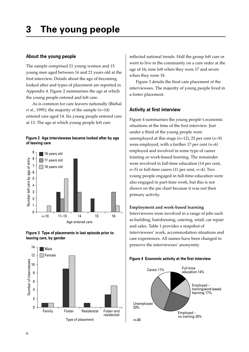# **3 The young people**

### **About the young people**

The sample comprised 21 young women and 15 young men aged between 16 and 21 years old at the first interview. Details about the age of becoming looked after and types of placement are reported in Appendix 4. Figure 2 summarises the age at which the young people entered and left care.

As is common for care leavers nationally (Biehal *et al*., 1995), the majority of the sample (*n*=14) entered care aged 14. Six young people entered care at 13. The age at which young people left care









reflected national trends. Half the group left care or went to live in the community on a care order at the age of 16; nine left when they were 17 and seven when they were 18.

Figure 3 details the final care placement of the interviewees. The majority of young people lived in a foster placement.

### **Activity at first interview**

Figure 4 summarises the young people's economic situations at the time of the first interview. Just under a third of the young people were unemployed at this stage  $(n=12)$ , 25 per cent  $(n=9)$ were employed, with a further 17 per cent (*n*=6) employed and involved in some type of career training or work-based learning. The remainder were involved in full-time education (14 per cent,  $n=5$ ) or full-time carers (11 per cent,  $n=4$ ). Two young people engaged in full-time education were also engaged in part-time work, but this is not shown on the pie chart because it was not their primary activity.

### **Employment and work-based learning**

Interviewees were involved in a range of jobs such as building, hairdressing, catering, retail, car repair and sales. Table 1 provides a snapshot of interviewees' work, accommodation situations and care experiences. All names have been changed to preserve the interviewees' anonymity.



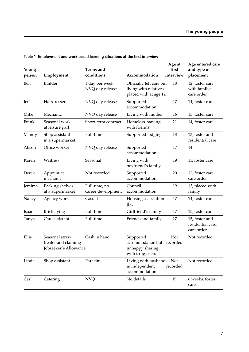| Young<br>person | Employment                                                      | Terms and<br>conditions             | Accommodation                                                              | Age at<br>first<br>interview | Age entered care<br>and type of<br>placement      |
|-----------------|-----------------------------------------------------------------|-------------------------------------|----------------------------------------------------------------------------|------------------------------|---------------------------------------------------|
| Ben             | Builder                                                         | 1 day per week<br>NVQ day release   | Officially left care but<br>living with relatives<br>placed with at age 12 | 18                           | 12, foster care<br>with family;<br>care order     |
| Jeff            | Hairdresser                                                     | NVQ day release                     | Supported<br>accommodation                                                 | 17                           | 14, foster care                                   |
| Mike            | Mechanic                                                        | NVQ day release                     | Living with mother                                                         | 16                           | 13, foster care                                   |
| Frank           | Seasonal work<br>at leisure park                                | Short-term contract                 | Homeless, staying<br>with friends                                          | 21                           | 14, foster care                                   |
| Mandy           | Shop assistant<br>in a supermarket                              | Full-time                           | Supported lodgings                                                         | 18                           | 13, foster and<br>residential care                |
| Alison          | Office worker                                                   | NVQ day release                     | Supported<br>accommodation                                                 | 17                           | 14                                                |
| Karen           | Waitress                                                        | Seasonal                            | Living with<br>boyfriend's family                                          | 19                           | 11, foster care                                   |
| Derek           | Apprentice<br>mechanic                                          | Not recorded                        | Supported<br>accommodation                                                 | 20                           | 12, foster care;<br>care order                    |
| Jemima          | Packing shelves<br>at a supermarket                             | Full-time, no<br>career development | Council<br>accommodation                                                   | 19                           | 13, placed with<br>family                         |
| Nancy           | Agency work                                                     | Casual                              | Housing association<br>flat                                                | 17                           | 14, foster care                                   |
| Isaac           | Bricklaying                                                     | Full-time                           | Girlfriend's family                                                        | 17                           | 15, foster care                                   |
| Tanya           | Care assistant                                                  | Full-time                           | Friends and family                                                         | 17                           | 15, foster and<br>residential care;<br>care order |
| Ellis           | Seasonal straw<br>treater and claiming<br>Jobseeker's Allowance | Cash in hand                        | Supported<br>accommodation but<br>unhappy sharing<br>with drug users       | <b>Not</b><br>recorded       | Not recorded                                      |
| Linda           | Shop assistant                                                  | Part-time                           | Living with husband<br>in independent<br>accommodation                     | Not<br>recorded              | Not recorded                                      |
| Carl            | Catering                                                        | <b>NVQ</b>                          | No details                                                                 | 19                           | 6 weeks, foster<br>care                           |

# **Table 1 Employment and work-based learning situations at the first interview**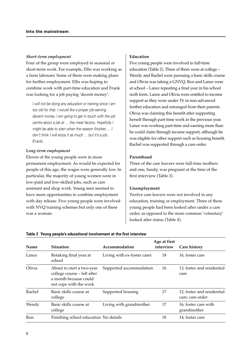#### *Short-term employment*

Four of the group were employed in seasonal or short-term work. For example, Ellis was working as a farm labourer. Some of them were making plans for further employment. Ellis was hoping to combine work with part-time education and Frank was looking for a job paying 'decent money':

I will not be doing any education or training since I am too old for that. I would like a proper job earning decent money. I am going to get in touch with the job centre about a job at … the meat factory. Hopefully I might be able to start when the season finishes … I don't think I will enjoy it as much … but it's a job. (Frank)

### *Long-term employment*

Eleven of the young people were in more permanent employment. As would be expected for people of this age, the wages were generally low. In particular, the majority of young women were in low-paid and low-skilled jobs, such as care assistant and shop work. Young men seemed to have more opportunities to combine employment with day release. Five young people were involved with NVQ training schemes but only one of these was a woman.

### **Education**

Five young people were involved in full-time education (Table 2). Three of them were at college – Wendy and Rachel were pursuing a basic skills course and Olivia was taking a GNVQ. Ron and Lance were at school – Lance repeating a final year in his school sixth form. Lance and Olivia were entitled to income support as they were under 19, in non-advanced further education and estranged from their parents. Olivia was claiming this benefit after supporting herself through part-time work in the previous year. Lance was working part-time and earning more than he could claim through income support, although he was eligible for other support such as housing benefit. Rachel was supported through a care order.

### **Parenthood**

Three of the care leavers were full-time mothers and one, Sandy, was pregnant at the time of the first interview (Table 3).

### **Unemployment**

Twelve care leavers were not involved in any education, training or employment. Three of these young people had been looked after under a care order, as opposed to the more common 'voluntary' looked after status (Table 4).

**Age at first**

| Name   | <b>Situation</b>                                                                                            | Accommodation               | interview | <b>Care history</b>                            |
|--------|-------------------------------------------------------------------------------------------------------------|-----------------------------|-----------|------------------------------------------------|
| Lance  | Retaking final year at<br>school                                                                            | Living with ex-foster carer | 18        | 16, foster care                                |
| Olivia | About to start a two-year<br>college course – left after<br>a month because could<br>not cope with the work | Supported accommodation     | 16        | 13, foster and residential<br>care             |
| Rachel | Basic skills course at<br>college                                                                           | Supported housing           | 17        | 12, foster and residential<br>care; care order |
| Wendy  | Basic skills course at<br>college                                                                           | Living with grandmother     | 17        | 16, foster care with<br>grandmother            |
| Ron    | Finishing school education No details                                                                       |                             | 18        | 14, foster care                                |

#### **Table 2 Young people's educational involvement at the first interview**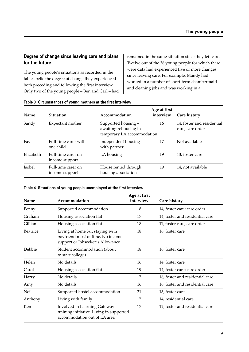# **Degree of change since leaving care and plans for the future**

The young people's situations as recorded in the tables belie the degree of change they experienced both preceding and following the first interview. Only two of the young people – Ben and Carl – had remained in the same situation since they left care. Twelve out of the 36 young people for which there were data had experienced five or more changes since leaving care. For example, Mandy had worked in a number of short-term chambermaid and cleaning jobs and was working in a

| Name      | <b>Situation</b>                     | Accommodation                                                              | Age at first<br>interview | <b>Care history</b>                            |
|-----------|--------------------------------------|----------------------------------------------------------------------------|---------------------------|------------------------------------------------|
| Sandy     | Expectant mother                     | Supported housing -<br>awaiting rehousing in<br>temporary LA accommodation | 16                        | 14, foster and residential<br>care; care order |
| Fay       | Full-time carer with<br>one child    | Independent housing<br>with partner                                        | 17                        | Not available                                  |
| Elizabeth | Full-time carer on<br>income support | LA housing                                                                 | 19                        | 13, foster care                                |
| Isobel    | Full-time carer on<br>income support | House rented through<br>housing association                                | 19                        | 14, not available                              |

### **Table 3 Circumstances of young mothers at the first interview**

### **Table 4 Situations of young people unemployed at the first interview**

| Name            | Accommodation                                                                                            | Age at first<br>interview | <b>Care history</b>             |
|-----------------|----------------------------------------------------------------------------------------------------------|---------------------------|---------------------------------|
| Penny           | Supported accommodation                                                                                  | 18                        | 14, foster care; care order     |
| Graham          | Housing association flat                                                                                 | 17                        | 14, foster and residential care |
| Gillian         | Housing association flat                                                                                 | 18                        | 11, foster care; care order     |
| <b>Beatrice</b> | Living at home but staying with<br>boyfriend most of time. No income<br>support or Jobseeker's Allowance | 18                        | 16, foster care                 |
| Debbie          | Student accommodation (about<br>to start college)                                                        | 18                        | 16, foster care                 |
| Helen           | No details                                                                                               | 16                        | 14, foster care                 |
| Carol           | Housing association flat                                                                                 | 19                        | 14, foster care; care order     |
| Harry           | No details                                                                                               | 17                        | 16, foster and residential care |
| Amy             | No details                                                                                               | 16                        | 16, foster and residential care |
| Neil            | Supported hostel accommodation                                                                           | 21                        | 13, foster care                 |
| Anthony         | Living with family                                                                                       | 17                        | 14, residential care            |
| Ken             | Involved in Learning Gateway<br>training initiative. Living in supported<br>accommodation out of LA area | 17                        | 12, foster and residential care |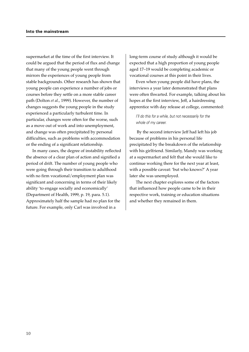supermarket at the time of the first interview. It could be argued that the period of flux and change that many of the young people went through mirrors the experiences of young people from stable backgrounds. Other research has shown that young people can experience a number of jobs or courses before they settle on a more stable career path (Dolton *et al.*, 1999). However, the number of changes suggests the young people in the study experienced a particularly turbulent time. In particular, changes were often for the worse, such as a move out of work and into unemployment, and change was often precipitated by personal difficulties, such as problems with accommodation or the ending of a significant relationship.

In many cases, the degree of instability reflected the absence of a clear plan of action and signified a period of drift. The number of young people who were going through their transition to adulthood with no firm vocational/employment plan was significant and concerning in terms of their likely ability 'to engage socially and economically' (Department of Health, 1999, p. 19, para. 5.1). Approximately half the sample had no plan for the future. For example, only Carl was involved in a

long-term course of study although it would be expected that a high proportion of young people aged 17–19 would be completing academic or vocational courses at this point in their lives.

Even when young people did have plans, the interviews a year later demonstrated that plans were often thwarted. For example, talking about his hopes at the first interview, Jeff, a hairdressing apprentice with day release at college, commented:

I'll do this for a while, but not necessarily for the whole of my career.

 By the second interview Jeff had left his job because of problems in his personal life precipitated by the breakdown of the relationship with his girlfriend. Similarly, Mandy was working at a supermarket and felt that she would like to continue working there for the next year at least, with a possible caveat: 'but who knows?' A year later she was unemployed.

The next chapter explores some of the factors that influenced how people came to be in their respective work, training or education situations and whether they remained in them.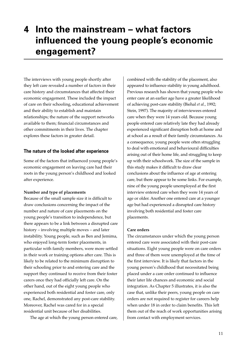# **4 Into the mainstream – what factors influenced the young people's economic engagement?**

The interviews with young people shortly after they left care revealed a number of factors in their care history and circumstances that affected their economic engagement. These included the impact of care on their schooling, educational achievement and their ability to establish and maintain relationships; the nature of the support networks available to them; financial circumstances and other commitments in their lives. The chapter explores these factors in greater detail.

# **The nature of the looked after experience**

Some of the factors that influenced young people's economic engagement on leaving care had their roots in the young person's childhood and looked after experience.

### **Number and type of placements**

Because of the small sample size it is difficult to draw conclusions concerning the impact of the number and nature of care placements on the young people's transition to independence, but there appears to be a link between a disrupted care history – involving multiple moves – and later instability. Young people, such as Ben and Jemima, who enjoyed long-term foster placements, in particular with family members, were more settled in their work or training options after care. This is likely to be related to the minimum disruption to their schooling prior to and entering care and the support they continued to receive from their foster carers once they had officially left care. On the other hand, out of the eight young people who experienced both residential and foster care, only one, Rachel, demonstrated any post-care stability. Moreover, Rachel was cared for in a special residential unit because of her disabilities.

The age at which the young person entered care,

combined with the stability of the placement, also appeared to influence stability in young adulthood. Previous research has shown that young people who enter care at an earlier age have a greater likelihood of achieving post-care stability (Biehal *et al.*, 1992; Stein, 1997). The majority of interviewees entered care when they were 14 years old. Because young people entered care relatively late they had already experienced significant disruption both at home and at school as a result of their family circumstances. As a consequence, young people were often struggling to deal with emotional and behavioural difficulties arising out of their home life, and struggling to keep up with their schoolwork. The size of the sample in this study makes it difficult to draw clear conclusions about the influence of age at entering care, but there appear to be some links. For example, nine of the young people unemployed at the first interview entered care when they were 14 years of age or older. Another one entered care at a younger age but had experienced a disrupted care history involving both residential and foster care placements.

### **Care orders**

The circumstances under which the young person entered care were associated with their post-care situations. Eight young people were on care orders and three of them were unemployed at the time of the first interview. It is likely that factors in the young person's childhood that necessitated being placed under a care order continued to influence their later life chances and economic and social integration. As Chapter 5 illustrates, it is also the case that, unlike their peers, young people on care orders are not required to register for careers help when under 18 in order to claim benefits. This left them out of the reach of work opportunities arising from contact with employment services.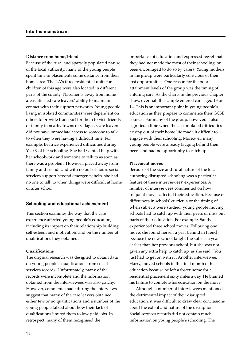#### **Distance from home/friends**

Because of the rural and sparsely populated nature of the local authority, many of the young people spent time in placements some distance from their home area. The LA's three residential units for children of this age were also located in different parts of the county. Placements away from home areas affected care leavers' ability to maintain contact with their support networks. Young people living in isolated communities were dependent on others to provide transport for them to visit friends or family in nearby towns or villages. Care leavers did not have immediate access to someone to talk to when they were having a difficult time. For example, Beatrice experienced difficulties during Year 9 of her schooling. She had wanted help with her schoolwork and someone to talk to as soon as there was a problem. However, placed away from family and friends and with no out-of-hours social services support beyond emergency help, she had no one to talk to when things were difficult at home or after school.

### **Schooling and educational achievement**

This section examines the way that the care experience affected young people's education, including its impact on their relationship building, self-esteem and motivation, and on the number of qualifications they obtained.

### **Qualifications**

The original research was designed to obtain data on young people's qualifications from social services records. Unfortunately, many of the records were incomplete and the information obtained from the interviewees was also patchy. However, comments made during the interviews suggest that many of the care leavers obtained either few or no qualifications and a number of the young people talked about how their lack of qualifications limited them to low-paid jobs. In retrospect, many of them recognised the

importance of education and expressed regret that they had not made the most of their schooling, or been encouraged to do so by carers. Young mothers in the group were particularly conscious of their lost opportunities. One reason for the poor attainment levels of the group was the timing of entering care. As the charts in the previous chapter show, over half the sample entered care aged 13 or 14. This is an important point in young people's education as they prepare to commence their GCSE courses. For many of the group, however, it also signified a time when the accumulated difficulties arising out of their home life made it difficult to engage with their schooling. Moreover, many young people were already lagging behind their peers and had no opportunity to catch up.

### **Placement moves**

Because of the size and rural nature of the local authority, disrupted schooling was a particular feature of these interviewees' experiences. A number of interviewees commented on how frequent moves affected their education. Because of differences in schools' curricula or the timing of when subjects were studied, young people moving schools had to catch up with their peers or miss out parts of their education. For example, Sandy experienced three school moves. Following one move, she found herself a year behind in French because the new school taught the subject a year earlier than her previous school, but she was not given any extra help to catch up; as she said, 'You just had to get on with it'. Another interviewee, Harry, moved schools in the final month of his education because he left a foster home for a residential placement sixty miles away. He blamed his failure to complete his education on the move.

Although a number of interviewees mentioned the detrimental impact of their disrupted education, it was difficult to draw clear conclusions about the extent and nature of the disruption. Social services records did not contain much information on young people's schooling. The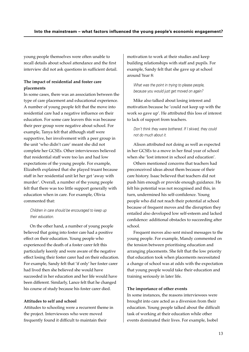young people themselves were often unable to recall details about school attendance and the first interview did not ask questions in sufficient detail.

# **The impact of residential and foster care placements**

In some cases, there was an association between the type of care placement and educational experience. A number of young people felt that the move into residential care had a negative influence on their education. For some care leavers this was because their peer group were negative about school. For example, Tanya felt that although staff were supportive, her involvement with a peer group in the unit 'who didn't care' meant she did not complete her GCSEs. Other interviewees believed that residential staff were too lax and had low expectations of the young people. For example, Elizabeth explained that she played truant because staff in her residential unit let her get 'away with murder'. Overall, a number of the young people felt that there was too little support generally with education when in care. For example, Olivia commented that:

# Children in care should be encouraged to keep up their education.

On the other hand, a number of young people believed that going into foster care had a positive effect on their education. Young people who experienced the death of a foster carer felt this particularly keenly and were aware of the negative effect losing their foster carer had on their education. For example, Sandy felt that 'if only' her foster carer had lived then she believed she would have succeeded in her education and her life would have been different. Similarly, Lance felt that he changed his course of study because his foster carer died.

### **Attitudes to self and school**

Attitudes to schooling were a recurrent theme in the project. Interviewees who were moved frequently found it difficult to maintain their

motivation to work at their studies and keep building relationships with staff and pupils. For example, Sandy felt that she gave up at school around Year 8:

What was the point in trying to please people, because you would just get moved on again?

Mike also talked about losing interest and motivation because he 'could not keep up with the work so gave up'. He attributed this loss of interest to lack of support from teachers.

Don't think they were bothered. If I skived, they could not do much about it.

Alison attributed not doing as well as expected in her GCSEs to a move in her final year of school when she 'lost interest in school and education'*.*

Others mentioned concerns that teachers had preconceived ideas about them because of their care history. Isaac believed that teachers did not push him enough or provide enough guidance. He felt his potential was not recognised and this, in turn, undermined his self-confidence. Young people who did not reach their potential at school because of frequent moves and the disruption they entailed also developed low self-esteem and lacked confidence: additional obstacles to succeeding after school.

Frequent moves also sent mixed messages to the young people. For example, Mandy commented on the tension between prioritising education and arranging placements. She felt that the low priority that education took when placements necessitated a change of school was at odds with the expectation that young people would take their education and training seriously in later life.

### **The importance of other events**

In some instances, the reasons interviewees were brought into care acted as a diversion from their education. Young people talked about the difficult task of working at their education while other events dominated their lives. For example, Isobel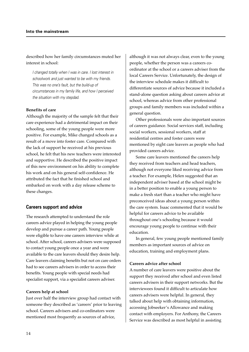described how her family circumstances muted her interest in school:

I changed totally when I was in care. I lost interest in schoolwork and just wanted to be with my friends. This was no one's fault, but the build-up of circumstances in my family life, and how I perceived the situation with my stepdad.

### **Benefits of care**

Although the majority of the sample felt that their care experience had a detrimental impact on their schooling, some of the young people were more positive. For example, Mike changed schools as a result of a move into foster care. Compared with the lack of support he received at his previous school, he felt that his new teachers were interested and supportive. He described the positive impact of this new environment on his ability to complete his work and on his general self-confidence. He attributed the fact that he finished school and embarked on work with a day release scheme to these changes.

### **Careers support and advice**

The research attempted to understand the role careers advice played in helping the young people develop and pursue a career path. Young people were eligible to have one careers interview while at school. After school, careers advisers were supposed to contact young people once a year and were available to the care leavers should they desire help. Care leavers claiming benefits but not on care orders had to see careers advisers in order to access their benefits. Young people with special needs had specialist support, via a specialist careers adviser.

### **Careers help at school**

Just over half the interview group had contact with someone they described as 'careers' prior to leaving school. Careers advisers and co-ordinators were mentioned most frequently as sources of advice,

although it was not always clear, even to the young people, whether the person was a careers coordinator at the school or a careers adviser from the local Careers Service. Unfortunately, the design of the interview schedule makes it difficult to differentiate sources of advice because it included a stand-alone question asking about careers advice at school, whereas advice from other professional groups and family members was included within a general question.

Other professionals were also important sources of careers guidance. Social services staff, including social workers, sessional workers, staff at residential centres and foster carers were mentioned by eight care leavers as people who had provided careers advice.

Some care leavers mentioned the careers help they received from teachers and head teachers, although not everyone liked receiving advice from a teacher. For example, Helen suggested that an independent adviser based at the school might be in a better position to enable a young person to make a fresh start than a teacher who might have preconceived ideas about a young person within the care system. Isaac commented that it would be helpful for careers advice to be available throughout one's schooling because it would encourage young people to continue with their education.

In general, few young people mentioned family members as important sources of advice on education, training and employment plans.

#### **Careers advice after school**

A number of care leavers were positive about the support they received after school and even listed careers advisers in their support networks. But the interviewees found it difficult to articulate how careers advisers were helpful. In general, they talked about help with obtaining information, accessing Jobseeker's Allowance and making contact with employers. For Anthony, the Careers Service was described as most helpful in assisting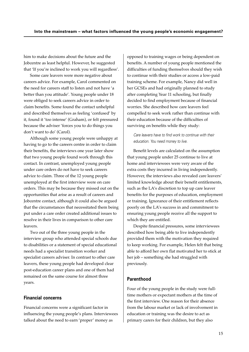him to make decisions about the future and the Jobcentre as least helpful. However, he suggested that 'If you're inclined to work you will regardless'.

Some care leavers were more negative about careers advice. For example, Carol commented on the need for careers staff to listen and not have 'a better than you attitude'*.* Young people under 18 were obliged to seek careers advice in order to claim benefits. Some found the contact unhelpful and described themselves as feeling 'confused' by it, found it 'too intense' (Graham), or felt pressured because the adviser 'forces you to do things you don't want to do' (Carol).

Although some young people were unhappy at having to go to the careers centre in order to claim their benefits, the interviews one year later show that two young people found work through this contact. In contrast, unemployed young people under care orders do not have to seek careers advice to claim. Three of the 12 young people unemployed at the first interview were on care orders. This may be because they missed out on the opportunities that arise as a result of careers and Jobcentre contact, although it could also be argued that the circumstances that necessitated them being put under a care order created additional issues to resolve in their lives in comparison to other care leavers.

Two out of the three young people in the interview group who attended special schools due to disabilities or a statement of special educational needs had a specialist transition worker and specialist careers adviser. In contrast to other care leavers, these young people had developed clear post-education career plans and one of them had remained on the same course for almost three years.

# **Financial concerns**

Financial concerns were a significant factor in influencing the young people's plans. Interviewees talked about the need to earn 'proper' money as

opposed to training wages or being dependent on benefits. A number of young people mentioned the difficulties of funding themselves should they wish to continue with their studies or access a low-paid training scheme. For example, Nancy did well in her GCSEs and had originally planned to study after completing Year 11 schooling, but finally decided to find employment because of financial worries. She described how care leavers feel compelled to seek work rather than continue with their education because of the difficulties of surviving on benefits while they study:

# Care leavers have to find work to continue with their education. You need money to live.

Benefit levels are calculated on the assumption that young people under 25 continue to live at home and interviewees were very aware of the extra costs they incurred in living independently. However, the interviews also revealed care leavers' limited knowledge about their benefit entitlements, such as the LA's discretion to top up care leaver benefits for the purposes of education, employment or training. Ignorance of their entitlement reflects poorly on the LA's success in and commitment to ensuring young people receive all the support to which they are entitled.

Despite financial pressures, some interviewees described how being able to live independently provided them with the motivation they required to keep working. For example, Helen felt that being able to afford her own flat motivated her to stick at her job – something she had struggled with previously.

# **Parenthood**

Four of the young people in the study were fulltime mothers or expectant mothers at the time of the first interview. One reason for their absence from the labour market or lack of involvement in education or training was the desire to act as primary carers for their children, but they also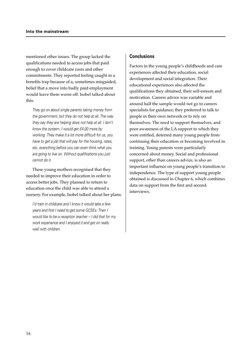mentioned other issues. The group lacked the qualifications needed to access jobs that paid enough to cover childcare costs and other commitments. They reported feeling caught in a benefits trap because of a, sometimes misguided, belief that a move into badly paid employment would leave them worse off. Isobel talked about this:

They go on about single parents taking money from the government, but they do not help at all. The way they say they are helping does not help at all. I don't know the system. I would get £4.00 more by working. They make it a lot more difficult for us, you have to get a job that will pay for the housing, rates, etc. everything before you can even think what you are going to live on. Without qualifications you just cannot do it.

These young mothers recognised that they needed to improve their education in order to access better jobs. They planned to return to education once the child was able to attend a nursery. For example, Isobel talked about her plans:

I'd train in childcare and I know it would take a few years and first I need to get some GCSEs. Then I would like to be a reception teacher – I did that for my work experience and I enjoyed it and get on really well with children.

### **Conclusions**

Factors in the young people's childhoods and care experiences affected their education, social development and social integration. Their educational experiences also affected the qualifications they obtained, their self-esteem and motivation. Careers advice was variable and around half the sample would not go to careers specialists for guidance; they preferred to talk to people in their own network or to rely on themselves. The need to support themselves, and poor awareness of the LA support to which they were entitled, deterred many young people from continuing their education or becoming involved in training. Young parents were particularly concerned about money. Social and professional support, other than careers advice, is also an important influence on young people's transition to independence. The type of support young people obtained is discussed in Chapter 6, which combines data on support from the first and second interviews.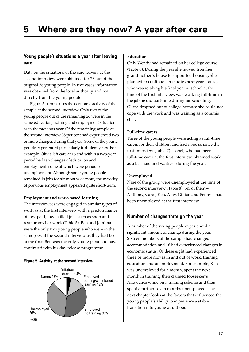# **Young people's situations a year after leaving care**

Data on the situations of the care leavers at the second interview were obtained for 26 out of the original 36 young people. In five cases information was obtained from the local authority and not directly from the young people.

Figure 5 summarises the economic activity of the sample at the second interview. Only two of the young people out of the remaining 26 were in the same education, training and employment situation as in the previous year. Of the remaining sample at the second interview 38 per cent had experienced two or more changes during that year. Some of the young people experienced particularly turbulent years. For example, Olivia left care at 16 and within a two-year period had ten changes of education and employment, some of which were periods of unemployment. Although some young people remained in jobs for six months or more, the majority of previous employment appeared quite short-term.

### **Employment and work-based learning**

The interviewees were engaged in similar types of work as at the first interview with a predominance of low-paid, low-skilled jobs such as shop and restaurant/bar work (Table 5). Ben and Jemima were the only two young people who were in the same jobs at the second interview as they had been at the first. Ben was the only young person to have continued with his day release programme.

### **Figure 5 Activity at the second interview**



### **Education**

Only Wendy had remained on her college course (Table 6). During the year she moved from her grandmother's house to supported housing. She planned to continue her studies next year. Lance, who was retaking his final year at school at the time of the first interview, was working full-time in the job he did part-time during his schooling. Olivia dropped out of college because she could not cope with the work and was training as a commis chef.

# **Full-time carers**

Three of the young people were acting as full-time carers for their children and had done so since the first interview (Table 7). Isobel, who had been a full-time carer at the first interview, obtained work as a barmaid and waitress during the year.

### **Unemployed**

Nine of the group were unemployed at the time of the second interview (Table 8). Six of them – Anthony, Carol, Ken, Amy, Gillian and Penny – had been unemployed at the first interview.

# **Number of changes through the year**

A number of the young people experienced a significant amount of change during the year. Sixteen members of the sample had changed accommodation and 16 had experienced changes in economic status. Of these eight had experienced three or more moves in and out of work, training, education and unemployment. For example, Ken was unemployed for a month, spent the next month in training, then claimed Jobseeker's Allowance while on a training scheme and then spent a further seven months unemployed. The next chapter looks at the factors that influenced the young people's ability to experience a stable transition into young adulthood.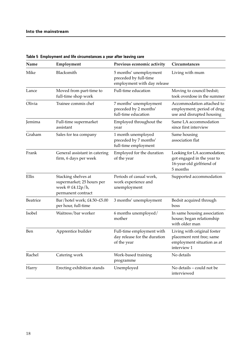| Name            | Employment                                                                                 | Previous economic activity                                                     | Circumstances                                                                                         |
|-----------------|--------------------------------------------------------------------------------------------|--------------------------------------------------------------------------------|-------------------------------------------------------------------------------------------------------|
| Mike            | Blacksmith                                                                                 | 5 months' unemployment<br>preceded by full-time<br>employment with day release | Living with mum                                                                                       |
| Lance           | Moved from part-time to<br>full-time shop work                                             | Full-time education                                                            | Moving to council bedsit;<br>took overdose in the summer                                              |
| Olivia          | Trainee commis chef                                                                        | 7 months' unemployment<br>preceded by 2 months'<br>full-time education         | Accommodation attached to<br>employment; period of drug<br>use and disrupted housing                  |
| Jemima          | Full-time supermarket<br>assistant                                                         | Employed throughout the<br>year                                                | Same LA accommodation<br>since first interview                                                        |
| Graham          | Sales for tea company                                                                      | 1 month unemployed<br>preceded by 7 months'<br>full-time employment            | Same housing<br>association flat                                                                      |
| Frank           | General assistant in catering<br>firm, 6 days per week                                     | Employed for the duration<br>of the year                                       | Looking for LA accomodation;<br>got engaged in the year to<br>16-year-old girlfriend of<br>5 months   |
| Ellis           | Stacking shelves at<br>supermarket; 25 hours per<br>week @ £4.12p/h,<br>permanent contract | Periods of casual work,<br>work experience and<br>unemployment                 | Supported accommodation                                                                               |
| <b>Beatrice</b> | Bar/hotel work; $£4.50–£5.00$<br>per hour, full-time                                       | 3 months' unemployment                                                         | Bedsit acquired through<br>boss                                                                       |
| Isobel          | Waitress/bar worker                                                                        | 6 months unemployed/<br>mother                                                 | In same housing association<br>house; began relationship<br>with older man                            |
| Ben             | Apprentice builder                                                                         | Full-time employment with<br>day release for the duration<br>of the year       | Living with original foster<br>placement rent free; same<br>employment situation as at<br>interview 1 |
| Rachel          | Catering work                                                                              | Work-based training<br>programme                                               | No details                                                                                            |
| Harry           | Erecting exhibition stands                                                                 | Unemployed                                                                     | No details – could not be<br>interviewed                                                              |

# **Table 5 Employment and life circumstances a year after leaving care**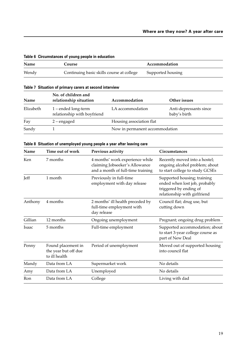| Table of Official Brandes of young people in equeation |                                           |                   |
|--------------------------------------------------------|-------------------------------------------|-------------------|
| Name                                                   | Course                                    | Accommodation     |
| Wendy                                                  | Continuing basic skills course at college | Supported housing |

# **Table 6 Circumstances of young people in education**

### **Table 7 Situation of primary carers at second interview**

| Name      | No. of children and<br>relationship situation      | Accommodation                  | Other issues                           |
|-----------|----------------------------------------------------|--------------------------------|----------------------------------------|
| Elizabeth | 1 – ended long-term<br>relationship with boyfriend | LA accommodation               | Anti-depressants since<br>baby's birth |
| Fay       | $2$ – engaged                                      | Housing association flat       |                                        |
| Sandy     |                                                    | Now in permanent accommodation |                                        |

# **Table 8 Situation of unemployed young people a year after leaving care**

| 7 months<br>4 months' work experience while<br>Ken<br>claiming Jobseeker's Allowance<br>and a month of full-time training | Recently moved into a hostel;<br>ongoing alcohol problem; about<br>to start college to study GCSEs                     |
|---------------------------------------------------------------------------------------------------------------------------|------------------------------------------------------------------------------------------------------------------------|
| Jeff<br>1 month<br>Previously in full-time<br>employment with day release                                                 | Supported housing; training<br>ended when lost job, probably<br>triggered by ending of<br>relationship with girlfriend |
| 4 months<br>Anthony<br>2 months' ill health preceded by<br>full-time employment with<br>day release                       | Council flat; drug use, but<br>cutting down                                                                            |
| 12 months<br>Gillian<br>Ongoing unemployment                                                                              | Pregnant; ongoing drug problem                                                                                         |
| 5 months<br>Full-time employment<br>Isaac                                                                                 | Supported accommodation; about<br>to start 3-year college course as<br>part of New Deal                                |
| Found placement in<br>Period of unemployment<br>Penny<br>the year but off due<br>to ill health                            | Moved out of supported housing<br>into council flat                                                                    |
| Data from LA<br>Mandy<br>Supermarket work                                                                                 | No details                                                                                                             |
| Data from LA<br>Unemployed<br>Amy                                                                                         | No details                                                                                                             |
| Data from LA<br>Ron<br>College                                                                                            | Living with dad                                                                                                        |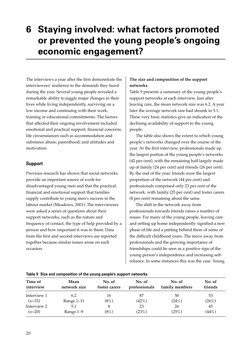# **6 Staying involved: what factors promoted or prevented the young people's ongoing economic engagement?**

The interviews a year after the first demonstrate the interviewees' resilience to the demands they faced during the year. Several young people revealed a remarkable ability to juggle major changes in their lives while living independently, surviving on a low income and continuing with their work, training or educational commitments. The factors that affected their ongoing involvement included emotional and practical support; financial concerns; life circumstances such as accommodation and substance abuse; parenthood; and attitudes and motivation.

# **Support**

Previous research has shown that social networks provide an important source of work for disadvantaged young men and that the practical, financial and emotional support that families supply contribute to young men's success in the labour market (Meadows, 2001). The interviewees were asked a series of questions about their support networks, such as the nature and frequency of contact, the type of help provided by a person and how important it was to them. Data from the first and second interviews are reported together because similar issues arose on each occasion.

# **The size and composition of the support networks**

Table 9 presents a summary of the young people's support networks at each interview. Just after leaving care, the mean network size was 6.2. A year later the average network size had shrunk to 5.1. These very basic statistics give an indication of the declining availability of support to the young people.

The table also shows the extent to which young people's networks changed over the course of the year. At the first interview, professionals made up the largest portion of the young people's networks (42 per cent), with the remaining half largely made up of family (24 per cent) and friends (26 per cent). By the end of the year, friends were the largest proportion of the network (44 per cent) and professionals comprised only 23 per cent of the network, with family (25 per cent) and foster carers (8 per cent) remaining about the same.

The shift in the network away from professionals towards friends raises a number of issues. For many of the young people, leaving care and setting up home independently signified a new phase of life and a putting behind them of some of the difficult childhood years. The move away from professionals and the growing importance of friendships could be seen as a positive sign of the young person's independence and increasing selfreliance. In some instances this was the case. Young

| Time of<br>interview | Mean<br>network size | No. of<br>foster carers | No. of<br>professionals | No. of<br>family members | No. of<br>friends |
|----------------------|----------------------|-------------------------|-------------------------|--------------------------|-------------------|
| Interview 1          | 6.2                  | 16                      | 87                      | 50                       | 53                |
| $(n=33)$             | Range 1-11           | (8%)                    | (42%)                   | (24%)                    | (26%)             |
| Interview 2          | 5.1                  |                         | 23                      | 26                       | 45                |
| $(n=20)$             | Range 1–9            | (8%)                    | (23%)                   | (25%)                    | (44%)             |

# **Table 9 Size and composition of the young people's support networks**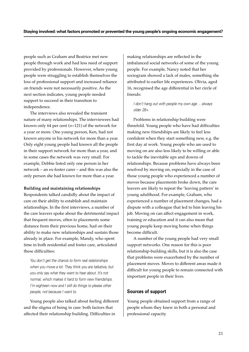people such as Graham and Beatrice met new people through work and had less need of support provided by professionals. However, where young people were struggling to establish themselves the loss of professional support and increased reliance on friends were not necessarily positive. As the next section indicates, young people needed support to succeed in their transition to independence.

The interviews also revealed the transient nature of many relationships. The interviewees had known only 64 per cent (*n*=121) of the network for a year or more. One young person, Ken, had not known anyone in his network for more than a year. Only eight young people had known all the people in their support network for more than a year, and in some cases the network was very small. For example, Debbie listed only one person in her network – an ex-foster carer – and this was also the only person she had known for more than a year.

### **Building and maintaining relationships**

Respondents talked candidly about the impact of care on their ability to establish and maintain relationships. In the first interviews, a number of the care leavers spoke about the detrimental impact that frequent moves, often to placements some distance from their previous home, had on their ability to make new relationships and sustain those already in place. For example, Mandy, who spent time in both residential and foster care, articulated these difficulties:

You don't get the chance to form real relationships when you move a lot. They think you are talkative, but you only say what they want to hear about. It's not normal, which makes it hard to form new friendships. I'm eighteen now and I still do things to please other people, not because I want to.

Young people also talked about feeling different and the stigma of being in care: both factors that affected their relationship building. Difficulties in

making relationships are reflected in the imbalanced social networks of some of the young people. For example, Nancy noted that her sociogram showed a lack of males, something she attributed to earlier life experiences. Olivia, aged 16, recognised the age differential in her circle of friends:

# I don't hang out with people my own age ... always older 28+.

Problems in relationship building were threefold. Young people who have had difficulties making new friendships are likely to feel less confident when they start something new, e.g. the first day at work. Young people who are used to moving on are also less likely to be willing or able to tackle the inevitable ups and downs of relationships. Because problems have always been resolved by moving on, especially in the case of those young people who experienced a number of moves because placements broke down, the care leavers are likely to repeat the 'leaving pattern' in young adulthood. For example, Graham, who experienced a number of placement changes, had a dispute with a colleague that led to him leaving his job. Moving on can affect engagement in work, training or education and it can also mean that young people keep moving home when things become difficult.

A number of the young people had very small support networks. One reason for this is poor relationship-building skills, but it is also the case that problems were exacerbated by the number of placement moves. Moves to different areas made it difficult for young people to remain connected with important people in their lives.

# **Sources of support**

Young people obtained support from a range of people whom they knew in both a personal and professional capacity.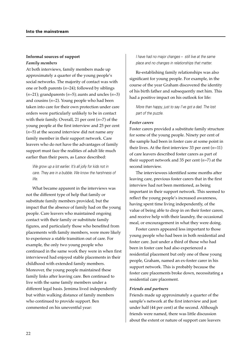### **Informal sources of support** *Family members*

At both interviews, family members made up approximately a quarter of the young people's social networks. The majority of contact was with one or both parents (*n*=24); followed by siblings  $(n=21)$ ; grandparents  $(n=5)$ ; aunts and uncles  $(n=3)$ and cousins (*n*=2). Young people who had been taken into care for their own protection under care orders were particularly unlikely to be in contact with their family. Overall, 21 per cent (*n*=7) of the young people at the first interview and 25 per cent (*n*=5) at the second interview did not name any family member in their support network. Care leavers who do not have the advantages of family support must face the realities of adult life much earlier than their peers, as Lance described:

We grow up a lot earlier. It's all jolly for kids not in care. They are in a bubble. We know the harshness of life.

What became apparent in the interviews was not the different type of help that family or substitute family members provided, but the impact that the absence of family had on the young people. Care leavers who maintained ongoing contact with their family or substitute family figures, and particularly those who benefited from placements with family members, were more likely to experience a stable transition out of care. For example, the only two young people who continued in the same work they were in when first interviewed had enjoyed stable placements in their childhood with extended family members. Moreover, the young people maintained these family links after leaving care. Ben continued to live with the same family members under a different legal basis. Jemima lived independently but within walking distance of family members who continued to provide support. Ben commented on his uneventful year:

I have had no major changes – still live at the same place and no changes in relationships that matter.

Re-establishing family relationships was also significant for young people. For example, in the course of the year Graham discovered the identity of his birth father and subsequently met him. This had a positive impact on his outlook for life:

More than happy, just to say I've got a dad. The lost part of the puzzle.

### *Foster carers*

Foster carers provided a substitute family structure for some of the young people. Ninety per cent of the sample had been in foster care at some point in their lives. At the first interview 33 per cent (*n*=11) of care leavers described foster carers as part of their support network and 35 per cent (*n*=7) at the second interview.

The interviewees identified some months after leaving care, previous foster carers that in the first interview had not been mentioned, as being important in their support network. This seemed to reflect the young people's increased awareness, having spent time living independently, of the value of being able to drop in on their foster carers, and receive help with their laundry, the occasional meal, or encouragement in what they were doing.

Foster carers appeared less important to those young people who had been in both residential and foster care. Just under a third of those who had been in foster care had also experienced a residential placement but only one of these young people, Graham, named an ex-foster carer in his support network. This is probably because the foster care placements broke down, necessitating a residential care placement.

### *Friends and partners*

Friends made up approximately a quarter of the sample's network at the first interview and just under half (44 per cent) at the second. Although friends were named, there was little discussion about the extent or nature of support care leavers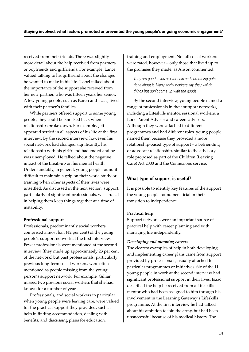received from their friends. There was slightly more detail about the help received from partners, or boyfriends and girlfriends. For example, Lance valued talking to his girlfriend about the changes he wanted to make in his life. Isobel talked about the importance of the support she received from her new partner, who was fifteen years her senior. A few young people, such as Karen and Isaac, lived with their partner's families.

While partners offered support to some young people, they could be knocked back when relationships broke down. For example, Jeff appeared settled in all aspects of his life at the first interview. By the second interview, however, his social network had changed significantly, his relationship with his girlfriend had ended and he was unemployed. He talked about the negative impact of the break-up on his mental health. Understandably, in general, young people found it difficult to maintain a grip on their work, study or training when other aspects of their lives were unsettled. As discussed in the next section, support, particularly of significant professionals, was crucial in helping them keep things together at a time of instability.

### **Professional support**

Professionals, predominantly social workers, comprised almost half (42 per cent) of the young people's support network at the first interview. Fewer professionals were mentioned at the second interview (they made up approximately 23 per cent of the network) but past professionals, particularly previous long-term social workers, were often mentioned as people missing from the young person's support network. For example, Gillian missed two previous social workers that she had known for a number of years.

Professionals, and social workers in particular when young people were leaving care, were valued for the practical support they provided, such as help in finding accommodation, dealing with benefits, and discussing plans for education,

training and employment. Not all social workers were rated, however – only those that lived up to the promises they made, as Alison commented:

They are good if you ask for help and something gets done about it. Many social workers say they will do things but don't come up with the goods.

By the second interview, young people named a range of professionals in their support networks, including a Lifeskills mentor, sessional workers, a Lone Parent Adviser and careers advisers. Although they were attached to different programmes and had different roles, young people named them because they provided a more relationship-based type of support – a befriending or advocate relationship, similar to the advisory role proposed as part of the Children (Leaving Care) Act 2000 and the Connexions service.

# **What type of support is useful?**

It is possible to identify key features of the support the young people found beneficial in their transition to independence.

### **Practical help**

Support networks were an important source of practical help with career planning and with managing life independently.

### *Developing and pursuing careers*

The clearest examples of help in both developing and implementing career plans came from support provided by professionals, usually attached to particular programmes or initiatives. Six of the 11 young people in work at the second interview had significant professional support in their lives. Isaac described the help he received from a Lifeskills mentor who had been assigned to him through his involvement in the Learning Gateway's Lifeskills programme. At the first interview he had talked about his ambition to join the army, but had been unsuccessful because of his medical history. The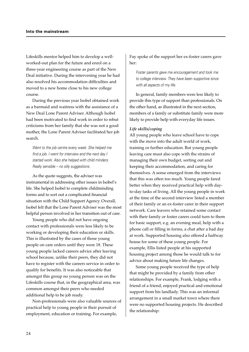Lifeskills mentor helped him to develop a wellworked-out plan for the future and enrol on a three-year engineering course as part of the New Deal initiative. During the intervening year he had also resolved his accommodation difficulties and moved to a new home close to his new college course.

During the previous year Isobel obtained work as a barmaid and waitress with the assistance of a New Deal Lone Parent Adviser. Although Isobel had been motivated to find work in order to rebut criticisms from her family that she was not a good mother, the Lone Parent Adviser facilitated her job search.

Went to the job centre every week. She helped me find a job. I went for interview and the next day I started work. Also she helped with child minders. Really sensible – no silly suggestions.

As the quote suggests, the adviser was instrumental in addressing other issues in Isobel's life. She helped Isobel to complete childminding forms and to sort out a complicated financial situation with the Child Support Agency. Overall, Isobel felt that the Lone Parent Adviser was the most helpful person involved in her transition out of care.

Young people who did not have ongoing contact with professionals were less likely to be working or developing their education or skills. This is illustrated by the cases of those young people on care orders until they were 18. These young people lacked careers advice after leaving school because, unlike their peers, they did not have to register with the careers service in order to qualify for benefits. It was also noticeable that amongst this group no young person was on the Lifeskills course that, in the geographical area, was common amongst their peers who needed additional help to be job ready.

Non-professionals were also valuable sources of practical help to young people in their pursuit of employment, education or training. For example,

Fay spoke of the support her ex-foster carers gave her:

Foster parents gave me encouragement and took me to college interview. They have been supportive since with all aspects of my life.

In general, family members were less likely to provide this type of support than professionals. On the other hand, as illustrated in the next section, members of a family or substitute family were more likely to provide help with everyday life issues.

### *Life skills/coping*

All young people who leave school have to cope with the move into the adult world of work, training or further education. But young people leaving care must also cope with the strains of managing their own budget, sorting out and keeping their accommodation, and caring for themselves. A sense emerged from the interviews that this was often too much. Young people fared better when they received practical help with dayto-day tasks of living. All the young people in work at the time of the second interview listed a member of their family or an ex-foster carer in their support network. Care leavers who retained some contact with their family or foster carers could turn to them for basic support, e.g. an evening meal, help with a phone call or filling in forms, a chat after a bad day at work. Supported housing also offered a halfway house for some of these young people. For example, Ellis listed people at his supported housing project among those he would talk to for advice about making future life changes.

Some young people received the type of help that might be provided by a family from other relationships. For example, Frank, lodging with a friend of a friend, enjoyed practical and emotional support from his landlady. This was an informal arrangement in a small market town where there were no supported housing projects. He described the relationship: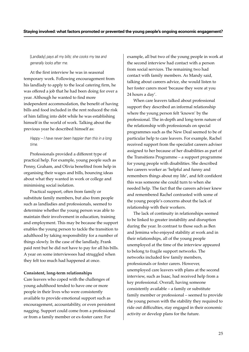[Landlady] pays all my bills; she cooks my tea and generally looks after me.

At the first interview he was in seasonal temporary work. Following encouragement from his landlady to apply to the local catering firm, he was offered a job that he had been doing for over a year. Although he wanted to find more independent accommodation, the benefit of having bills and food included in the rent reduced the risk of him falling into debt while he was establishing himself in the world of work. Talking about the previous year he described himself as:

### Happy – I have never been happier than this in a long time.

Professionals provided a different type of practical help. For example, young people such as Penny, Graham, and Olivia benefited from help in organising their wages and bills, bouncing ideas about what they wanted in work or college and minimising social isolation.

Practical support, often from family or substitute family members, but also from people such as landladies and professionals, seemed to determine whether the young person was able to maintain their involvement in education, training and employment. This may be because the support enables the young person to tackle the transition to adulthood by taking responsibility for a number of things slowly. In the case of the landlady, Frank paid rent but he did not have to pay for all his bills. A year on some interviewees had struggled when they felt too much had happened at once.

### **Consistent, long-term relationships**

Care leavers who coped with the challenges of young adulthood tended to have one or more people in their lives who were consistently available to provide emotional support such as encouragement, accountability, or even persistent nagging. Support could come from a professional or from a family member or ex-foster carer. For

example, all but two of the young people in work at the second interview had contact with a person from social services. The remaining two had contact with family members. As Mandy said, talking about careers advice, she would listen to her foster carers most 'because they were at you 24 hours a day'.

When care leavers talked about professional support they described an informal relationship where the young person felt 'known' by the professional. The in-depth and long-term nature of the relationship with professionals on special programmes such as the New Deal seemed to be of particular help to care leavers. For example, Rachel received support from the specialist careers adviser assigned to her because of her disabilities as part of the Transitions Programme – a support programme for young people with disabilities. She described her careers worker as 'helpful and funny and remembers things about my life', and felt confident this was someone she could turn to when she needed help. The fact that the careers adviser knew and remembered Rachel contrasted with some of the young people's concerns about the lack of relationship with their workers.

The lack of continuity in relationships seemed to be linked to greater instability and disruption during the year. In contrast to those such as Ben and Jemima who enjoyed stability at work and in their relationships, all of the young people unemployed at the time of the interview appeared to belong to fragile support networks. The networks included few family members, professionals or foster carers. However, unemployed care leavers with plans at the second interview, such as Isaac, had received help from a key professional. Overall, having someone consistently available – a family or substitute family member or professional – seemed to provide the young person with the stability they required to ride out difficulties, stay engaged in their economic activity or develop plans for the future.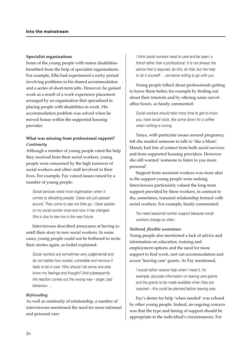#### **Specialist organisations**

Some of the young people with minor disabilities benefited from the help of specialist organisations. For example, Ellis had experienced a rocky period involving problems in his shared accommodation and a series of short-term jobs. However, he gained work as a result of a work experience placement arranged by an organisation that specialised in placing people with disabilities in work. His accommodation problem was solved when he moved house within the supported housing provider.

# **What was missing from professional support?** *Continuity*

Although a number of young people rated the help they received from their social workers, young people were concerned by the high turnover of social workers and other staff involved in their lives. For example, Fay voiced issues raised by a number of young people:

Social services need more organisation when it comes to allocating people. Cases are just passed around. They come to see me then go. I have spoken to my social worker once and now it has changed. She is due to see me in the near future.

Interviewees described annoyance at having to retell their story to new social workers. In some cases, young people could not be bothered to recite their stories again, as Isobel explained:

Social workers are sometimes very judgemental and do not realise how scared, vulnerable and nervous it feels to be in care. Why should I let some one else know my feelings and thought? And subsequently the reaction comes out the wrong way – anger, bad behaviour …

### *Befriending*

As well as continuity of relationship, a number of interviewees mentioned the need for more informal and personal care:

I think social workers need to care and be open; a friend rather than a professional. It is not always the advice that is required, do this, do that, but the help to do it yourself … someone willing to go with you.

Young people talked about professionals getting to know them better, for example by finding out about their interests and by offering some out-ofoffice hours, as Sandy commented:

Social workers should take more time to get to know you, have social visits, like come down for a coffee when nothing is wrong.

Tanya, with particular issues around pregnancy, felt she needed someone to talk to 'like a Mum'*.* Mandy had lots of contact from both social services and from supported housing providers. However she still wanted 'someone to listen to you more personal'.

Support from sessional workers was more akin to the support young people were seeking. Interviewees particularly valued the long-term support provided by these workers, in contrast to the, sometimes, transient relationship formed with social workers. For example, Sandy commented:

You need sessional worker support because social workers change so often.

#### *Tailored, flexible assistance*

Young people also mentioned a lack of advice and information on education, training and employment options and the need for more support to find work, sort out accommodation and access 'leaving care' grants. As Fay mentioned,

I would rather receive help when I need it, for example, accurate information on leaving care grants and the grants to be made available when they are required – this could be planned before leaving care.

Fay's desire for help 'when needed' was echoed by other young people. Indeed, an ongoing concern was that the type and timing of support should be appropriate to the individual's circumstances. For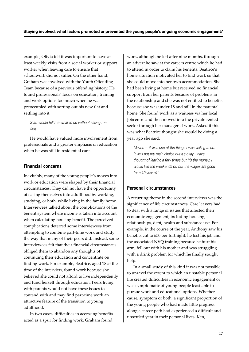example, Olivia felt it was important to have at least weekly visits from a social worker or support worker when leaving care to ensure that schoolwork did not suffer. On the other hand, Graham was involved with the Youth Offending Team because of a previous offending history. He found professionals' focus on education, training and work options too much when he was preoccupied with sorting out his new flat and settling into it.

Staff would tell me what to do without asking me first.

He would have valued more involvement from professionals and a greater emphasis on education when he was still in residential care.

# **Financial concerns**

Inevitably, many of the young people's moves into work or education were shaped by their financial circumstances. They did not have the opportunity of easing themselves into adulthood by working, studying, or both, while living in the family home. Interviewees talked about the complications of the benefit system where income is taken into account when calculating housing benefit. The perceived complications deterred some interviewees from attempting to combine part-time work and study the way that many of their peers did. Instead, some interviewees felt that their financial circumstances obliged them to abandon any thoughts of continuing their education and concentrate on finding work. For example, Beatrice, aged 18 at the time of the interview, found work because she believed she could not afford to live independently and fund herself through education. Peers living with parents would not have these issues to contend with and may find part-time work an attractive feature of the transition to young adulthood.

In two cases, difficulties in accessing benefits acted as a spur for finding work. Graham found

work, although he left after nine months, through an advert he saw at the careers centre which he had to attend in order to claim his benefits. Beatrice's home situation motivated her to find work so that she could move into her own accommodation. She had been living at home but received no financial support from her parents because of problems in the relationship and she was not entitled to benefits because she was under 18 and still in the parental home. She found work as a waitress via her local Jobcentre and then moved into the private rented sector through her manager at work. Asked if this was what Beatrice thought she would be doing a year ago she said:

Maybe – it was one of the things I was willing to do. It was not my main choice but it's okay. I have thought of leaving a few times but it's the money. I would like the weekends off but the wages are good for a 19-year-old.

# **Personal circumstances**

A recurring theme in the second interviews was the significance of life circumstances. Care leavers had to deal with a range of issues that affected their economic engagement, including housing, relationships, debt, health and substance use. For example, in the course of the year, Anthony saw his benefits cut to £50 per fortnight, he lost his job and the associated NVQ training because he hurt his arm, fell out with his mother and was struggling with a drink problem for which he finally sought help.

In a small study of this kind it was not possible to unravel the extent to which an unstable personal life created difficulties in economic engagement or was symptomatic of young people least able to pursue work and educational options. Whether cause, symptom or both, a significant proportion of the young people who had made little progress along a career path had experienced a difficult and unsettled year in their personal lives. Ken,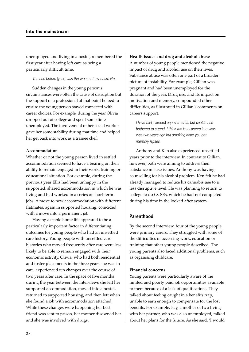unemployed and living in a hostel, remembered the first year after having left care as being a particularly difficult time.

The one before [year] was the worse of my entire life.

Sudden changes in the young person's circumstances were often the cause of disruption but the support of a professional at that point helped to ensure the young person stayed connected with career choices. For example, during the year Olivia dropped out of college and spent some time unemployed. The involvement of her social worker gave her some stability during that time and helped her get back into work as a trainee chef.

### **Accommodation**

Whether or not the young person lived in settled accommodation seemed to have a bearing on their ability to remain engaged in their work, training or educational situation. For example, during the previous year Ellis had been unhappy in the supported, shared accommodation in which he was living and had worked in a series of short-term jobs. A move to new accommodation with different flatmates, again in supported housing, coincided with a move into a permanent job.

Having a stable home life appeared to be a particularly important factor in differentiating outcomes for young people who had an unsettled care history. Young people with unsettled care histories who moved frequently after care were less likely to be able to remain engaged with their economic activity. Olivia, who had both residential and foster placements in the three years she was in care, experienced ten changes over the course of two years after care. In the space of five months during the year between the interviews she left her supported accommodation, moved into a hostel, returned to supported housing, and then left when she found a job with accommodation attached. While these changes were happening her best friend was sent to prison, her mother disowned her and she was involved with drugs.

### **Health issues and drug and alcohol abuse**

A number of young people mentioned the negative impact of drug and alcohol use on their lives. Substance abuse was often one part of a broader picture of instability. For example, Gillian was pregnant and had been unemployed for the duration of the year. Drug use, and its impact on motivation and memory, compounded other difficulties, as illustrated in Gillian's comments on careers support:

I have had [careers] appointments, but couldn't be bothered to attend. I think the last careers interview was two years ago but smoking dope you get memory lapses.

Anthony and Ken also experienced unsettled years prior to the interview. In contrast to Gillian, however, both were aiming to address their substance misuse issues. Anthony was having counselling for his alcohol problem. Ken felt he had already managed to reduce his cannabis use to a less disruptive level. He was planning to return to college to do GCSEs, which he had not completed during his time in the looked after system.

# **Parenthood**

By the second interview, four of the young people were primary carers. They struggled with some of the difficulties of accessing work, education or training that other young people described. The young parents also faced additional problems, such as organising childcare.

### **Financial concerns**

Young parents were particularly aware of the limited and poorly paid job opportunities available to them because of a lack of qualifications. They talked about feeling caught in a benefits trap, unable to earn enough to compensate for the lost benefits. For example, Fay, a mother of two living with her partner, who was also unemployed, talked about her plans for the future. As she said, 'I would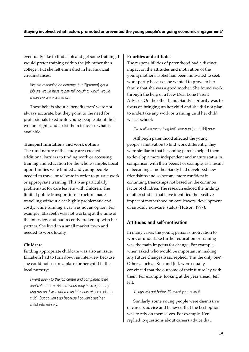eventually like to find a job and get some training. I would prefer training within the job rather than college', but she felt enmeshed in her financial circumstances:

We are managing on benefits, but if [partner] got a job we would have to pay full housing, which would mean we were worse off.

These beliefs about a 'benefits trap' were not always accurate, but they point to the need for professionals to educate young people about their welfare rights and assist them to access what is available.

### **Transport limitations and work options**

The rural nature of the study area created additional barriers to finding work or accessing training and education for the whole sample. Local opportunities were limited and young people needed to travel or relocate in order to pursue work or appropriate training. This was particularly problematic for care leavers with children. The limited public transport infrastructure made travelling without a car highly problematic and costly, while funding a car was not an option. For example, Elizabeth was not working at the time of the interview and had recently broken up with her partner. She lived in a small market town and needed to work locally.

### **Childcare**

Finding appropriate childcare was also an issue. Elizabeth had to turn down an interview because she could not secure a place for her child in the local nursery:

I went down to the job centre and completed [the] application form. As and when they have a job they ring me up. I was offered an interview at [local leisure club]. But couldn't go because I couldn't get [her child] into nursery.

#### **Priorities and attitudes**

The responsibilities of parenthood had a distinct impact on the attitudes and motivation of the young mothers. Isobel had been motivated to seek work partly because she wanted to prove to her family that she was a good mother. She found work through the help of a New Deal Lone Parent Adviser. On the other hand, Sandy's priority was to focus on bringing up her child and she did not plan to undertake any work or training until her child was at school:

### I've realised everything boils down to [her child] now.

Although parenthood affected the young people's motivation to find work differently, they were similar in that becoming parents helped them to develop a more independent and mature status in comparison with their peers. For example, as a result of becoming a mother Sandy had developed new friendships and so become more confident in continuing friendships not based on the common factor of children. The research echoed the findings of other studies that have identified the positive impact of motherhood on care leavers' development of an adult 'non-care' status (Hutson, 1997).

# **Attitudes and self-motivation**

In many cases, the young person's motivation to work or undertake further education or training was the main impetus for change. For example, when asked who would be important in making any future changes Isaac replied, 'I'm the only one'. Others, such as Ken and Jeff, were equally convinced that the outcome of their future lay with them. For example, looking at the year ahead, Jeff felt:

### Things will get better. It's what you make it.

Similarly, some young people were dismissive of careers advice and believed that the best option was to rely on themselves. For example, Ken replied to questions about careers advice that: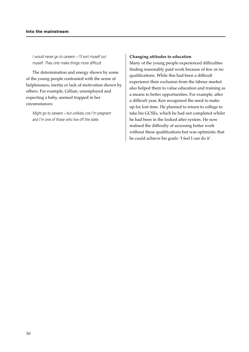I would never go to careers – I'll sort myself out myself. They only make things more difficult.

The determination and energy shown by some of the young people contrasted with the sense of helplessness, inertia or lack of motivation shown by others. For example, Gillian, unemployed and expecting a baby, seemed trapped in her circumstances:

Might go to careers – but unlikely cos I'm pregnant and I'm one of those who live off the state.

### **Changing attitudes to education**

Many of the young people experienced difficulties finding reasonably paid work because of few or no qualifications. While this had been a difficult experience their exclusion from the labour market also helped them to value education and training as a means to better opportunities. For example, after a difficult year, Ken recognised the need to make up for lost time. He planned to return to college to take his GCSEs, which he had not completed whilst he had been in the looked after system. He now realised the difficulty of accessing better work without these qualifications but was optimistic that he could achieve his goals: 'I feel I can do it'.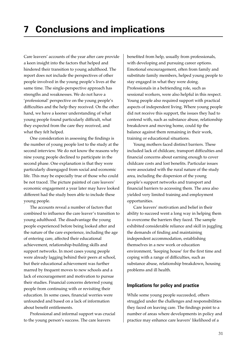Care leavers' accounts of the year after care provide a keen insight into the factors that helped and hindered their transition to young adulthood. The report does not include the perspectives of other people involved in the young people's lives at the same time. The single-perspective approach has strengths and weaknesses. We do not have a 'professional' perspective on the young people's difficulties and the help they received. On the other hand, we have a keener understanding of what young people found particularly difficult, what they expected from the care they received, and what they felt helped.

One consideration in assessing the findings is the number of young people lost to the study at the second interview. We do not know the reasons why nine young people declined to participate in the second phase. One explanation is that they were particularly disengaged from social and economic life. This may be especially true of those who could be not traced. The picture painted of care leavers' economic engagement a year later may have looked different had the study been able to include these young people.

The accounts reveal a number of factors that combined to influence the care leaver's transition to young adulthood. The disadvantage the young people experienced before being looked after and the nature of the care experience, including the age of entering care, affected their educational achievement, relationship-building skills and support networks. In most cases young people were already lagging behind their peers at school, but their educational achievement was further marred by frequent moves to new schools and a lack of encouragement and motivation to pursue their studies. Financial concerns deterred young people from continuing with or revisiting their education. In some cases, financial worries were unfounded and based on a lack of information about benefit entitlements.

Professional and informal support was crucial to the young person's success. The care leavers

benefited from help, usually from professionals, with developing and pursuing career options. Emotional encouragement, often from family and substitute family members, helped young people to stay engaged in what they were doing. Professionals in a befriending role, such as sessional workers, were also helpful in this respect. Young people also required support with practical aspects of independent living. Where young people did not receive this support, the issues they had to contend with, such as substance abuse, relationship breakdown and moving home, could tip the balance against them remaining in their work, training or educational situations.

Young mothers faced distinct barriers. These included lack of childcare, transport difficulties and financial concerns about earning enough to cover childcare costs and lost benefits. Particular issues were associated with the rural nature of the study area, including the dispersion of the young people's support networks and transport and financial barriers to accessing them. The area also yielded very limited training and employment opportunities.

Care leavers' motivation and belief in their ability to succeed went a long way in helping them to overcome the barriers they faced. The sample exhibited considerable reliance and skill in juggling the demands of finding and maintaining independent accommodation, establishing themselves in a new work or education environment, 'keeping house' for the first time and coping with a range of difficulties, such as substance abuse, relationship breakdown, housing problems and ill health.

# **Implications for policy and practice**

While some young people succeeded, others struggled under the challenges and responsibilities they faced on leaving care. The findings point to a number of areas where developments in policy and practice may enhance care leavers' likelihood of a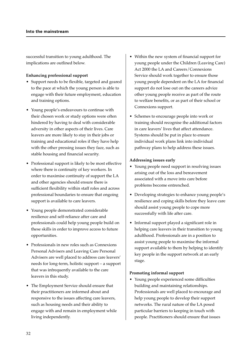successful transition to young adulthood. The implications are outlined below.

### **Enhancing professional support**

- Support needs to be flexible, targeted and geared to the pace at which the young person is able to engage with their future employment, education and training options.
- Young people's endeavours to continue with their chosen work or study options were often hindered by having to deal with considerable adversity in other aspects of their lives. Care leavers are more likely to stay in their jobs or training and educational roles if they have help with the other pressing issues they face, such as stable housing and financial security.
- Professional support is likely to be most effective where there is continuity of key workers. In order to maximise continuity of support the LA and other agencies should ensure there is sufficient flexibility within staff roles and across professional boundaries to ensure that ongoing support is available to care leavers.
- Young people demonstrated considerable resilience and self-reliance after care and professionals could help young people build on these skills in order to improve access to future opportunities.
- Professionals in new roles such as Connexions Personal Advisers and Leaving Care Personal Advisers are well placed to address care leavers' needs for long-term, holistic support – a support that was infrequently available to the care leavers in this study.
- The Employment Service should ensure that their practitioners are informed about and responsive to the issues affecting care leavers, such as housing needs and their ability to engage with and remain in employment while living independently.
- Within the new system of financial support for young people under the Children (Leaving Care) Act 2000 the LA and Careers/Connexions Service should work together to ensure those young people dependent on the LA for financial support do not lose out on the careers advice other young people receive as part of the route to welfare benefits, or as part of their school or Connexions support.
- Schemes to encourage people into work or training should recognise the additional factors in care leavers' lives that affect attendance. Systems should be put in place to ensure individual work plans link into individual pathway plans to help address these issues.

### **Addressing issues early**

- Young people need support in resolving issues arising out of the loss and bereavement associated with a move into care before problems become entrenched.
- Developing strategies to enhance young people's resilience and coping skills before they leave care should assist young people to cope more successfully with life after care.
- Informal support played a significant role in helping care leavers in their transition to young adulthood. Professionals are in a position to assist young people to maximise the informal support available to them by helping to identify key people in the support network at an early stage.

### **Promoting informal support**

• Young people experienced some difficulties building and maintaining relationships. Professionals are well placed to encourage and help young people to develop their support networks. The rural nature of the LA posed particular barriers to keeping in touch with people. Practitioners should ensure that issues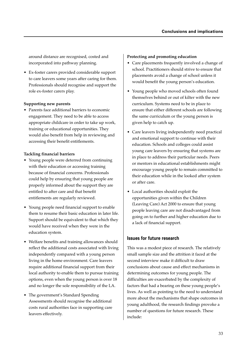around distance are recognised, costed and incorporated into pathway planning.

• Ex-foster carers provided considerable support to care leavers some years after caring for them. Professionals should recognise and support the role ex-foster carers play.

### **Supporting new parents**

• Parents face additional barriers to economic engagement. They need to be able to access appropriate childcare in order to take up work, training or educational opportunities. They would also benefit from help in reviewing and accessing their benefit entitlements.

### **Tackling financial barriers**

- Young people were deterred from continuing with their education or accessing training because of financial concerns. Professionals could help by ensuring that young people are properly informed about the support they are entitled to after care and that benefit entitlements are regularly reviewed.
- Young people need financial support to enable them to resume their basic education in later life. Support should be equivalent to that which they would have received when they were in the education system.
- Welfare benefits and training allowances should reflect the additional costs associated with living independently compared with a young person living in the home environment. Care leavers require additional financial support from their local authority to enable them to pursue training options, even when the young person is over 18 and no longer the sole responsibility of the LA.
- The government's Standard Spending Assessments should recognise the additional costs rural authorities face in supporting care leavers effectively.

### **Protecting and promoting education**

- Care placements frequently involved a change of school. Practitioners should strive to ensure that placements avoid a change of school unless it would benefit the young person's education.
- Young people who moved schools often found themselves behind or out of kilter with the new curriculum. Systems need to be in place to ensure that either different schools are following the same curriculum or the young person is given help to catch up.
- Care leavers living independently need practical and emotional support to continue with their education. Schools and colleges could assist young care leavers by ensuring that systems are in place to address their particular needs. Peers or mentors in educational establishments might encourage young people to remain committed to their education while in the looked after system or after care.
- Local authorities should exploit the opportunities given within the Children (Leaving Care) Act 2000 to ensure that young people leaving care are not disadvantaged from going on to further and higher education due to a lack of financial support.

# **Issues for future research**

This was a modest piece of research. The relatively small sample size and the attrition it faced at the second interview make it difficult to draw conclusions about cause and effect mechanisms in determining outcomes for young people. The difficulties are exacerbated by the complexity of factors that had a bearing on these young people's lives. As well as pointing to the need to understand more about the mechanisms that shape outcomes in young adulthood, the research findings provoke a number of questions for future research. These include: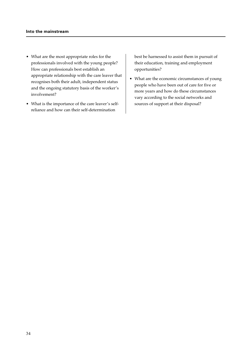- What are the most appropriate roles for the professionals involved with the young people? How can professionals best establish an appropriate relationship with the care leaver that recognises both their adult, independent status and the ongoing statutory basis of the worker's involvement?
- What is the importance of the care leaver's selfreliance and how can their self-determination

best be harnessed to assist them in pursuit of their education, training and employment opportunities?

• What are the economic circumstances of young people who have been out of care for five or more years and how do these circumstances vary according to the social networks and sources of support at their disposal?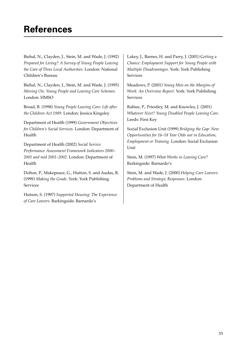# **References**

Biehal, N., Clayden, J., Stein, M. and Wade, J. (1992) *Prepared for Living? A Survey of Young People Leaving the Care of Three Local Authorities.* London: National Children's Bureau

Biehal, N., Clayden, J., Stein, M. and Wade, J. (1995) *Moving On: Young People and Leaving Care Schemes.* London: HMSO

Broad, B. (1998) *Young People Leaving Care: Life after the Children Act 1989.* London: Jessica Kingsley

Department of Health (1999) *Government Objectives for Children's Social Services*. London: Department of Health

Department of Health (2002) *Social Service Performance Assessment Framework Indicators 2000– 2001 and mid 2001–2002*. London: Department of Health

Dolton, P., Makepeace, G., Hutton, S. and Audas, R. (1999) *Making the Grade*. York: York Publishing Services

Hutson, S. (1997) *Supported Housing: The Experience of Care Leavers.* Barkingside: Barnardo's

Lakey, J., Barnes, H. and Parry, J. (2001) G*etting a Chance: Employment Support for Young People with Multiple Disadvantages.* York: York Publishing Services

Meadows, P. (2001) *Young Men on the Margins of Work: An Overview Report*. York: York Publishing Services

Rabiee, P., Priestley, M. and Knowles, J. (2001) *Whatever Next? Young Disabled People Leaving Care.* Leeds: First Key

Social Exclusion Unit (1999) *Bridging the Gap: New Opportunities for 16–18 Year Olds not in Education, Employment or Training.* London: Social Exclusion Unit

Stein, M. (1997) *What Works in Leaving Care?* Barkingside: Barnardo's

Stein, M. and Wade, J. (2000) *Helping Care Leavers: Problems and Strategic Responses*. London: Department of Health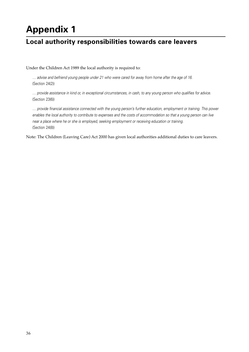# **Appendix 1**

# **Local authority responsibilities towards care leavers**

Under the Children Act 1989 the local authority is required to:

… advise and befriend young people under 21 who were cared for away from home after the age of 16. (Section 24(2))

… provide assistance in kind or, in exceptional circumstances, in cash, to any young person who qualifies for advice. (Section 23(6))

… provide financial assistance connected with the young person's further education, employment or training. This power enables the local authority to contribute to expenses and the costs of accommodation so that a young person can live near a place where he or she is employed, seeking employment or receiving education or training. (Section 24(8))

Note: The Children (Leaving Care) Act 2000 has given local authorities additional duties to care leavers.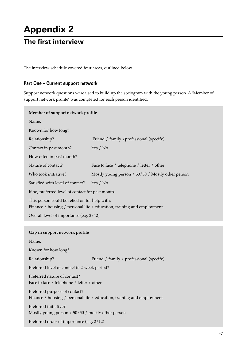# **Appendix 2**

# **The first interview**

The interview schedule covered four areas, outlined below.

# **Part One – Current support network**

Support network questions were used to build up the sociogram with the young person. A 'Member of support network profile' was completed for each person identified.

| Member of support network profile                                          |                                                                         |  |
|----------------------------------------------------------------------------|-------------------------------------------------------------------------|--|
| Name:                                                                      |                                                                         |  |
| Known for how long?                                                        |                                                                         |  |
| Relationship?                                                              | Friend / family / professional (specify)                                |  |
| Contact in past month?                                                     | Yes $/$ No                                                              |  |
| How often in past month?                                                   |                                                                         |  |
| Nature of contact?                                                         | Face to face / telephone / letter / other                               |  |
| Who took initiative?                                                       | Mostly young person / 50/50 / Mostly other person                       |  |
| Satisfied with level of contact?                                           | Yes / $No$                                                              |  |
| If no, preferred level of contact for past month.                          |                                                                         |  |
| This person could be relied on for help with:                              | Finance / housing / personal life / education, training and employment. |  |
| Overall level of importance (e.g. 2/12)                                    |                                                                         |  |
|                                                                            |                                                                         |  |
|                                                                            |                                                                         |  |
| Gap in support network profile                                             |                                                                         |  |
| Name:                                                                      |                                                                         |  |
| Known for how long?                                                        |                                                                         |  |
| Relationship?                                                              | Friend / family / professional (specify)                                |  |
| Preferred level of contact in 2-week period?                               |                                                                         |  |
| Preferred nature of contact?<br>Face to face / telephone / letter / other  |                                                                         |  |
| Preferred purpose of contact?                                              | Finance / housing / personal life / education, training and employment  |  |
| Preferred initiative?<br>Mostly young person / 50/50 / mostly other person |                                                                         |  |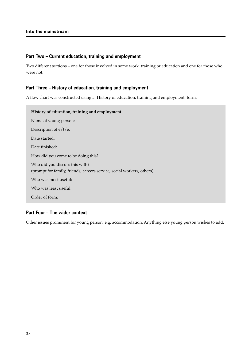### **Part Two – Current education, training and employment**

Two different sections – one for those involved in some work, training or education and one for those who were not.

# **Part Three – History of education, training and employment**

A flow chart was constructed using a 'History of education, training and employment' form.

| History of education, training and employment                                                           |
|---------------------------------------------------------------------------------------------------------|
| Name of young person:                                                                                   |
| Description of $e/t/e$ :                                                                                |
| Date started:                                                                                           |
| Date finished:                                                                                          |
| How did you come to be doing this?                                                                      |
| Who did you discuss this with?<br>(prompt for family, friends, careers service, social workers, others) |
| Who was most useful:                                                                                    |
| Who was least useful:                                                                                   |
| Order of form:                                                                                          |

# **Part Four – The wider context**

Other issues prominent for young person, e.g. accommodation. Anything else young person wishes to add.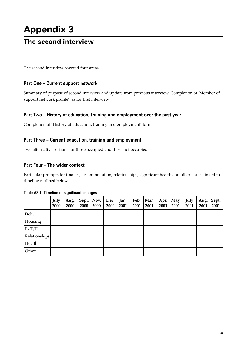# **Appendix 3**

# **The second interview**

The second interview covered four areas.

# **Part One – Current support network**

Summary of purpose of second interview and update from previous interview. Completion of 'Member of support network profile', as for first interview.

# **Part Two – History of education, training and employment over the past year**

Completion of 'History of education, training and employment' form.

# **Part Three – Current education, training and employment**

Two alternative sections for those occupied and those not occupied.

# **Part Four – The wider context**

Particular prompts for finance, accommodation, relationships, significant health and other issues linked to timeline outlined below.

|               | July<br>2000 | Aug.<br>2000 | 2000 | Sept.   Nov.<br>2000 | Dec.<br>2000 | Jan.<br>2001 | Feb.<br>2001 | Mar.<br>2001 | Apr.<br>2001 | May<br>2001 | July<br>2001 | Aug.<br>2001 | Sept.<br>2001 |
|---------------|--------------|--------------|------|----------------------|--------------|--------------|--------------|--------------|--------------|-------------|--------------|--------------|---------------|
| Debt          |              |              |      |                      |              |              |              |              |              |             |              |              |               |
| Housing       |              |              |      |                      |              |              |              |              |              |             |              |              |               |
| E/T/E         |              |              |      |                      |              |              |              |              |              |             |              |              |               |
| Relationships |              |              |      |                      |              |              |              |              |              |             |              |              |               |
| Health        |              |              |      |                      |              |              |              |              |              |             |              |              |               |
| Other         |              |              |      |                      |              |              |              |              |              |             |              |              |               |

### **Table A3.1 Timeline of significant changes**